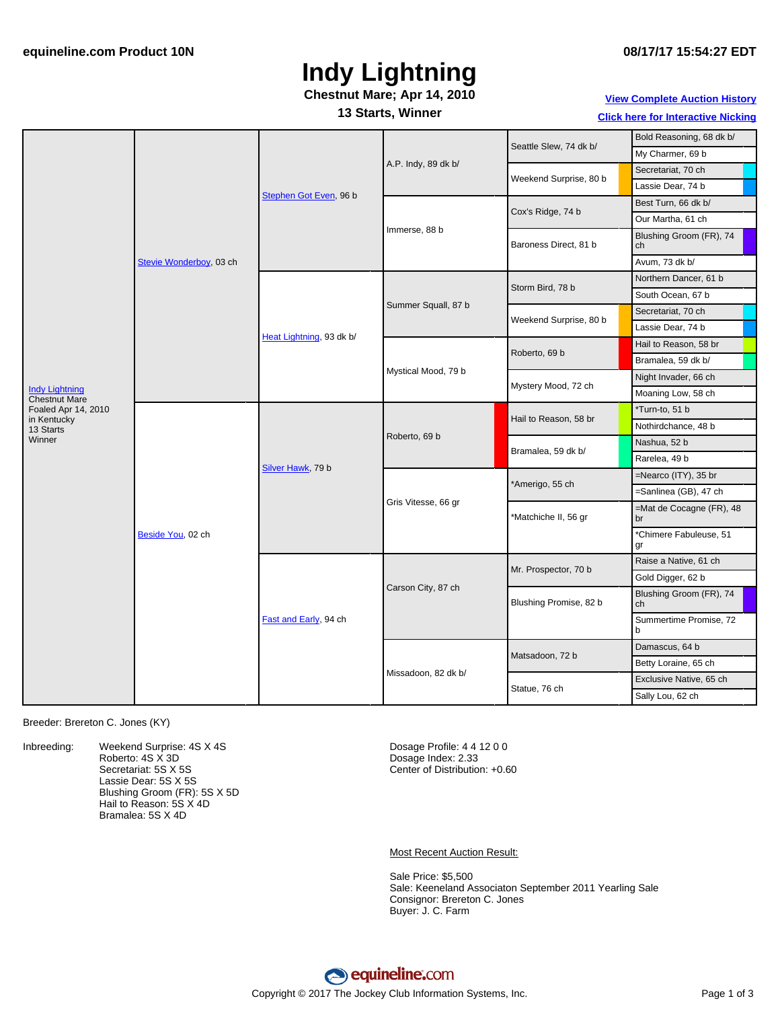# **Indy Lightning**

#### **Chestnut Mare; Apr 14, 2010**

#### **13 Starts, Winner**

### **View [Complete](http://www.equineline.com/Free-Auction-Results.cfm?upsellReferenceNumber=&upsellHorseName=&upsellBreedType=&upsellHorseType=&upsellYOB=&lookupAuctionResults=true&tempHorseType=&tempSale=ALL&tempYear=ALL&search_type=HORSE&reference_number=8866152&horse_name=Fateful&horse_type=ALL&year=ALL&sale=ALL&consignor_id=&consignor_name=&buyer_id=&buyer_name=&price_range_low=&price_range_high=&availableConsignors=&availableBuyers=&fromFree5CrossPedigree=Y) Auction History**

**Click here for [Interactive](#page-2-0) Nicking**

|                                                           | Stevie Wonderboy, 03 ch | Stephen Got Even, 96 b   | A.P. Indy, 89 dk b/ | Seattle Slew, 74 dk b/ | Bold Reasoning, 68 dk b/       |
|-----------------------------------------------------------|-------------------------|--------------------------|---------------------|------------------------|--------------------------------|
|                                                           |                         |                          |                     |                        | My Charmer, 69 b               |
|                                                           |                         |                          |                     | Weekend Surprise, 80 b | Secretariat, 70 ch             |
|                                                           |                         |                          |                     |                        | Lassie Dear, 74 b              |
|                                                           |                         |                          | Immerse, 88 b       | Cox's Ridge, 74 b      | Best Turn, 66 dk b/            |
|                                                           |                         |                          |                     |                        | Our Martha, 61 ch              |
|                                                           |                         |                          |                     | Baroness Direct, 81 b  | Blushing Groom (FR), 74<br>ch  |
|                                                           |                         |                          |                     |                        | Avum, 73 dk b/                 |
|                                                           |                         | Heat Lightning, 93 dk b/ | Summer Squall, 87 b | Storm Bird, 78 b       | Northern Dancer, 61 b          |
|                                                           |                         |                          |                     |                        | South Ocean, 67 b              |
|                                                           |                         |                          |                     | Weekend Surprise, 80 b | Secretariat, 70 ch             |
|                                                           |                         |                          |                     |                        | Lassie Dear, 74 b              |
|                                                           |                         |                          | Mystical Mood, 79 b | Roberto, 69 b          | Hail to Reason, 58 br          |
|                                                           |                         |                          |                     |                        | Bramalea, 59 dk b/             |
|                                                           |                         |                          |                     | Mystery Mood, 72 ch    | Night Invader, 66 ch           |
| <b>Indy Lightning</b><br><b>Chestnut Mare</b>             |                         |                          |                     |                        | Moaning Low, 58 ch             |
| Foaled Apr 14, 2010<br>in Kentucky<br>13 Starts<br>Winner | Beside You, 02 ch       | Silver Hawk, 79 b        | Roberto, 69 b       | Hail to Reason, 58 br  | *Turn-to, 51 b                 |
|                                                           |                         |                          |                     |                        | Nothirdchance, 48 b            |
|                                                           |                         |                          |                     | Bramalea, 59 dk b/     | Nashua, 52 b                   |
|                                                           |                         |                          |                     |                        | Rarelea, 49 b                  |
|                                                           |                         |                          | Gris Vitesse, 66 gr | *Amerigo, 55 ch        | =Nearco (ITY), 35 br           |
|                                                           |                         |                          |                     |                        | =Sanlinea (GB), 47 ch          |
|                                                           |                         |                          |                     | *Matchiche II, 56 gr   | =Mat de Cocagne (FR), 48<br>br |
|                                                           |                         |                          |                     |                        | *Chimere Fabuleuse, 51<br>gr   |
|                                                           |                         | Fast and Early, 94 ch    | Carson City, 87 ch  | Mr. Prospector, 70 b   | Raise a Native, 61 ch          |
|                                                           |                         |                          |                     |                        | Gold Digger, 62 b              |
|                                                           |                         |                          |                     | Blushing Promise, 82 b | Blushing Groom (FR), 74<br>ch  |
|                                                           |                         |                          |                     |                        | Summertime Promise, 72<br>b    |
|                                                           |                         |                          | Missadoon, 82 dk b/ | Matsadoon, 72 b        | Damascus, 64 b                 |
|                                                           |                         |                          |                     |                        | Betty Loraine, 65 ch           |
|                                                           |                         |                          |                     | Statue, 76 ch          | Exclusive Native, 65 ch        |
|                                                           |                         |                          |                     |                        | Sally Lou, 62 ch               |

Breeder: Brereton C. Jones (KY)

Inbreeding: Weekend Surprise: 4S X 4S Roberto: 4S X 3D Secretariat: 5S X 5S Lassie Dear: 5S X 5S Blushing Groom (FR): 5S X 5D Hail to Reason: 5S X 4D Bramalea: 5S X 4D

Dosage Profile: 4 4 12 0 0 Dosage Index: 2.33 Center of Distribution: +0.60

Most Recent Auction Result:

Sale Price: \$5,500 Sale: Keeneland Associaton September 2011 Yearling Sale Consignor: Brereton C. Jones Buyer: J. C. Farm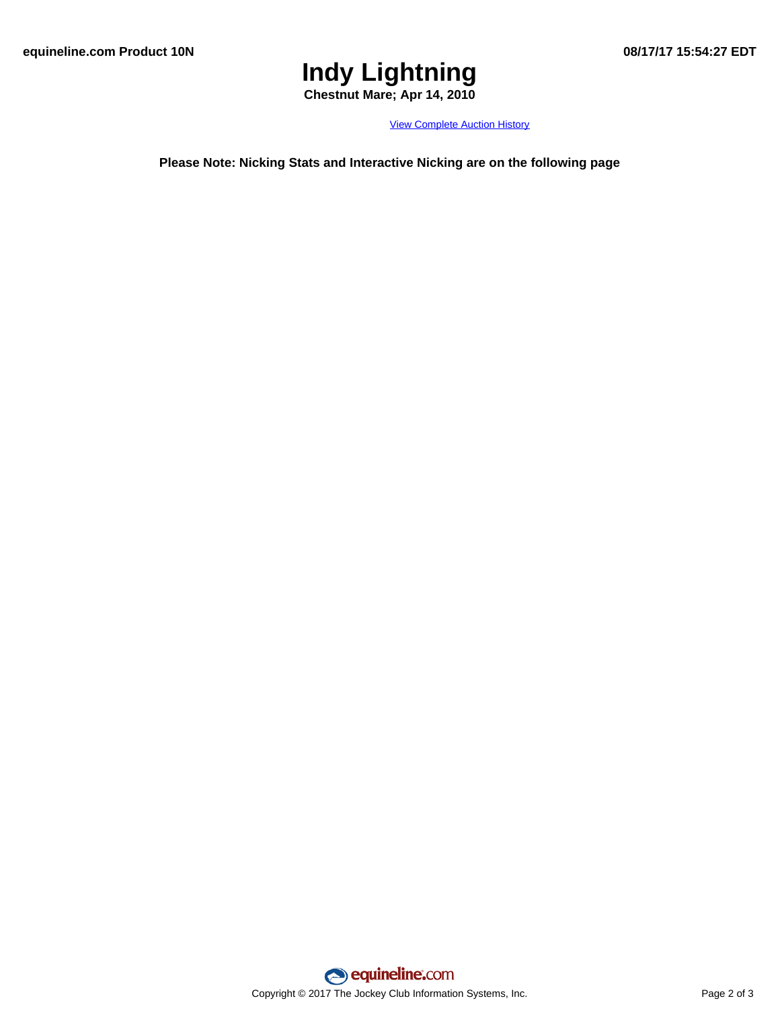# **Indy Lightning**

**Chestnut Mare; Apr 14, 2010**

View [Complete](http://www.equineline.com/Free-Auction-Results.cfm?upsellReferenceNumber=&upsellHorseName=&upsellBreedType=&upsellHorseType=&upsellYOB=&lookupAuctionResults=true&tempHorseType=&tempSale=ALL&tempYear=ALL&search_type=HORSE&reference_number=8866152&horse_name=Fateful&horse_type=ALL&year=ALL&sale=ALL&consignor_id=&consignor_name=&buyer_id=&buyer_name=&price_range_low=&price_range_high=&availableConsignors=&availableBuyers=&fromFree5CrossPedigree=Y) Auction History

**Please Note: Nicking Stats and Interactive Nicking are on the following page**